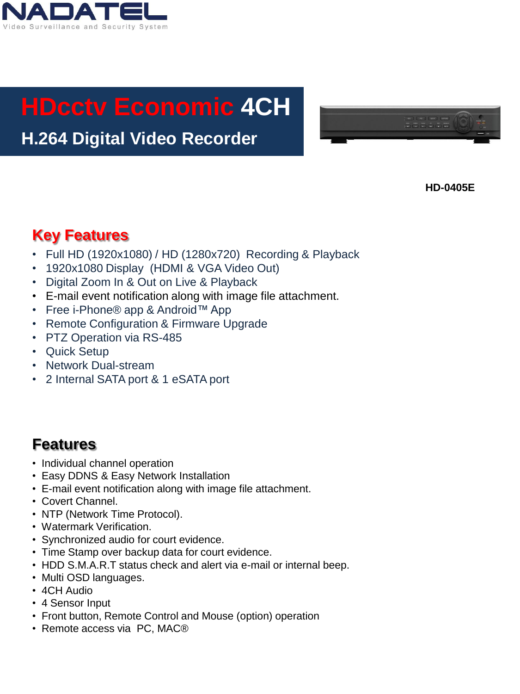

# **HDcctv Economic 4CH**

### **H.264 Digital Video Recorder**



**HD-0405E**

#### **Key Features**

- Full HD (1920x1080) / HD (1280x720) Recording & Playback
- 1920x1080 Display (HDMI & VGA Video Out)
- Digital Zoom In & Out on Live & Playback
- E-mail event notification along with image file attachment.
- Free i-Phone® app & Android™ App
- Remote Configuration & Firmware Upgrade
- PTZ Operation via RS-485
- Quick Setup
- Network Dual-stream
- 2 Internal SATA port & 1 eSATA port

#### **Features**

- Individual channel operation
- Easy DDNS & Easy Network Installation
- E-mail event notification along with image file attachment.
- Covert Channel.
- NTP (Network Time Protocol).
- Watermark Verification.
- Synchronized audio for court evidence.
- Time Stamp over backup data for court evidence.
- HDD S.M.A.R.T status check and alert via e-mail or internal beep.
- Multi OSD languages.
- 4CH Audio
- 4 Sensor Input
- Front button, Remote Control and Mouse (option) operation
- Remote access via PC, MAC®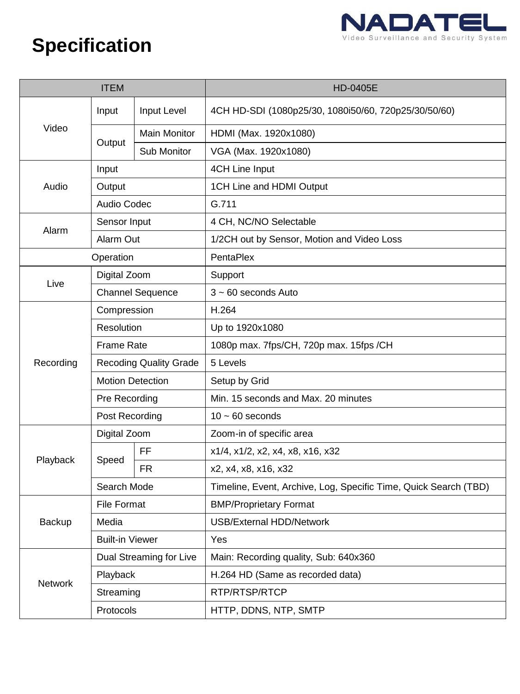

## **Specification**

| <b>ITEM</b>    |                               |                     | <b>HD-0405E</b>                                                  |
|----------------|-------------------------------|---------------------|------------------------------------------------------------------|
| Video          | Input                         | Input Level         | 4CH HD-SDI (1080p25/30, 1080i50/60, 720p25/30/50/60)             |
|                | Output                        | <b>Main Monitor</b> | HDMI (Max. 1920x1080)                                            |
|                |                               | Sub Monitor         | VGA (Max. 1920x1080)                                             |
| Audio          | Input                         |                     | 4CH Line Input                                                   |
|                | Output                        |                     | 1CH Line and HDMI Output                                         |
|                | Audio Codec                   |                     | G.711                                                            |
|                | Sensor Input                  |                     | 4 CH, NC/NO Selectable                                           |
| Alarm          | Alarm Out                     |                     | 1/2CH out by Sensor, Motion and Video Loss                       |
|                | Operation                     |                     | PentaPlex                                                        |
| Live           | Digital Zoom                  |                     | Support                                                          |
|                | <b>Channel Sequence</b>       |                     | $3 \sim 60$ seconds Auto                                         |
|                | Compression                   |                     | H.264                                                            |
|                | Resolution                    |                     | Up to 1920x1080                                                  |
|                | <b>Frame Rate</b>             |                     | 1080p max. 7fps/CH, 720p max. 15fps /CH                          |
| Recording      | <b>Recoding Quality Grade</b> |                     | 5 Levels                                                         |
|                | <b>Motion Detection</b>       |                     | Setup by Grid                                                    |
|                | Pre Recording                 |                     | Min. 15 seconds and Max. 20 minutes                              |
|                | Post Recording                |                     | $10 \sim 60$ seconds                                             |
|                | Digital Zoom                  |                     | Zoom-in of specific area                                         |
| Playback       | Speed                         | FF                  | x1/4, x1/2, x2, x4, x8, x16, x32                                 |
|                |                               | <b>FR</b>           | x2, x4, x8, x16, x32                                             |
|                | Search Mode                   |                     | Timeline, Event, Archive, Log, Specific Time, Quick Search (TBD) |
|                | <b>File Format</b>            |                     | <b>BMP/Proprietary Format</b>                                    |
| Backup         | Media                         |                     | <b>USB/External HDD/Network</b>                                  |
|                | <b>Built-in Viewer</b>        |                     | Yes                                                              |
| <b>Network</b> | Dual Streaming for Live       |                     | Main: Recording quality, Sub: 640x360                            |
|                | Playback                      |                     | H.264 HD (Same as recorded data)                                 |
|                | Streaming                     |                     | RTP/RTSP/RTCP                                                    |
|                | Protocols                     |                     | HTTP, DDNS, NTP, SMTP                                            |